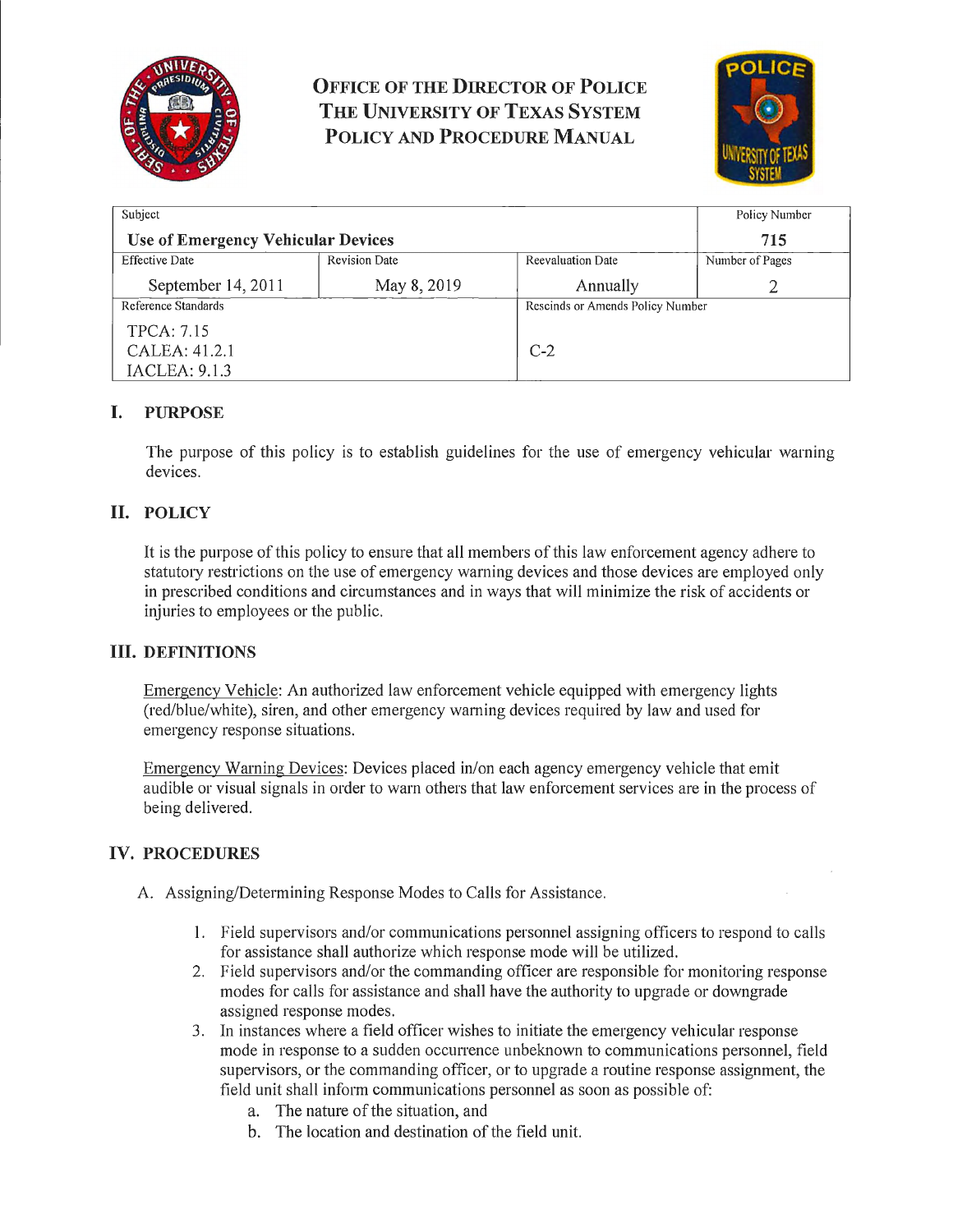

**OFFICE OF THE DIRECTOR OF POLICE THE UNIVERSITY OF TEXAS SYSTEM POLICY AND PROCEDURE MANUAL** 



| Subject                                   |                      |                                  | Policy Number   |
|-------------------------------------------|----------------------|----------------------------------|-----------------|
| <b>Use of Emergency Vehicular Devices</b> |                      |                                  | 715             |
| <b>Effective Date</b>                     | <b>Revision Date</b> | Reevaluation Date                | Number of Pages |
| September 14, 2011                        | May 8, 2019          | Annually                         |                 |
| Reference Standards                       |                      | Rescinds or Amends Policy Number |                 |
| <b>TPCA: 7.15</b>                         |                      |                                  |                 |
| CALEA: 41.2.1                             |                      | $C-2$                            |                 |
| <b>IACLEA: 9.1.3</b>                      |                      |                                  |                 |

## **I. PURPOSE**

The purpose of this policy is to establish guidelines for the use of emergency vehicular warning devices.

## **II. POLICY**

It is the purpose of this policy to ensure that all members of this law enforcement agency adhere to statutory restrictions on the use of emergency warning devices and those devices are employed only in prescribed conditions and circumstances and in ways that will minimize the risk of accidents or injuries to employees or the public.

## **III. DEFINITIONS**

Emergency Vehicle: An authorized law enforcement vehicle equipped with emergency lights (red/blue/white), siren, and other emergency warning devices required by law and used for emergency response situations.

Emergency Warning Devices: Devices placed in/on each agency emergency vehicle that emit audible or visual signals in order to warn others that law enforcement services are in the process of being delivered.

## **IV. PROCEDURES**

- A. Assigning/Determining Response Modes to Calls for Assistance.
	- **1.** Field supervisors and/or communications personnel assigning officers to respond to calls for assistance shall authorize which response mode will be utilized.
	- 2. Field supervisors and/or the commanding officer are responsible for monitoring response modes for calls for assistance and shall have the authority to upgrade or downgrade assigned response modes.
	- 3. In instances where a field officer wishes to initiate the emergency vehicular response mode in response to a sudden occurrence unbeknown to communications personnel, field supervisors, or the commanding officer, or to upgrade a routine response assignment, the field unit shall inform communications personnel as soon as possible of:
		- a. The nature of the situation, and
		- b. The location and destination of the field unit.